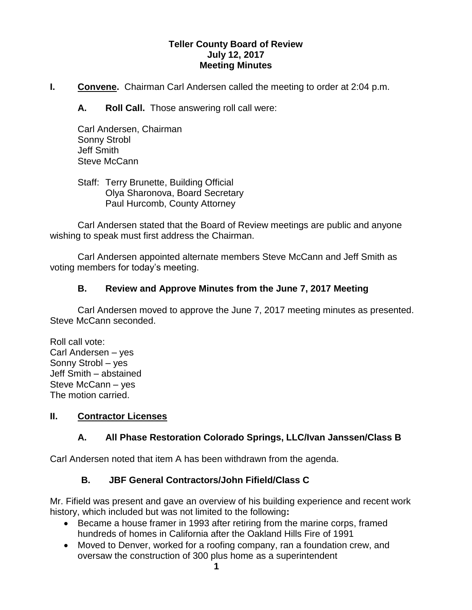#### **Teller County Board of Review July 12, 2017 Meeting Minutes**

**I. Convene.** Chairman Carl Andersen called the meeting to order at 2:04 p.m.

**A. Roll Call.** Those answering roll call were:

Carl Andersen, Chairman Sonny Strobl Jeff Smith Steve McCann

Staff: Terry Brunette, Building Official Olya Sharonova, Board Secretary Paul Hurcomb, County Attorney

Carl Andersen stated that the Board of Review meetings are public and anyone wishing to speak must first address the Chairman.

Carl Andersen appointed alternate members Steve McCann and Jeff Smith as voting members for today's meeting.

### **B. Review and Approve Minutes from the June 7, 2017 Meeting**

Carl Andersen moved to approve the June 7, 2017 meeting minutes as presented. Steve McCann seconded.

Roll call vote: Carl Andersen – yes Sonny Strobl – yes Jeff Smith – abstained Steve McCann – yes The motion carried.

### **II. Contractor Licenses**

# **A. All Phase Restoration Colorado Springs, LLC/Ivan Janssen/Class B**

Carl Andersen noted that item A has been withdrawn from the agenda.

# **B. JBF General Contractors/John Fifield/Class C**

Mr. Fifield was present and gave an overview of his building experience and recent work history, which included but was not limited to the following**:**

- Became a house framer in 1993 after retiring from the marine corps, framed hundreds of homes in California after the Oakland Hills Fire of 1991
- Moved to Denver, worked for a roofing company, ran a foundation crew, and oversaw the construction of 300 plus home as a superintendent